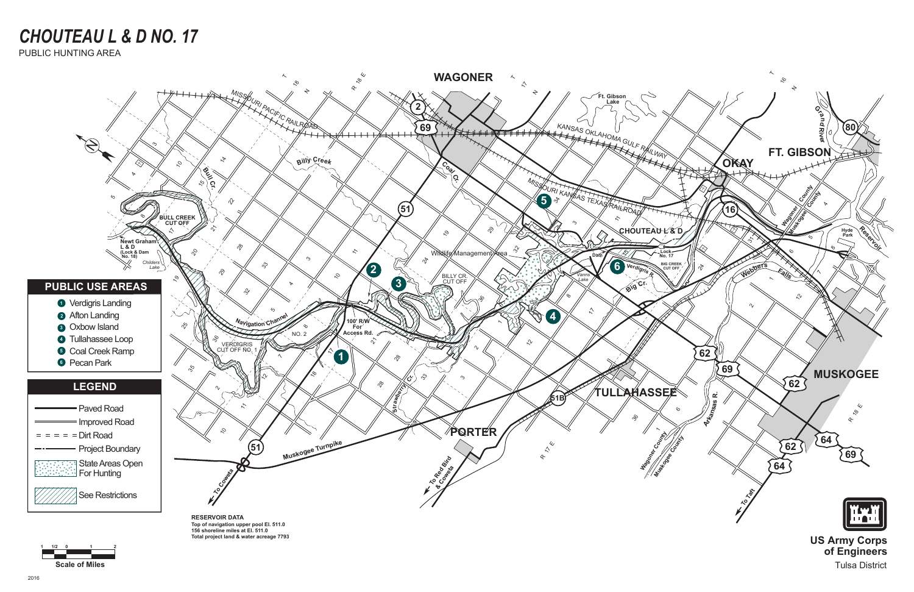

# *CHOUTEAU L & D NO. 17*

PUBLIC HUNTING AREA